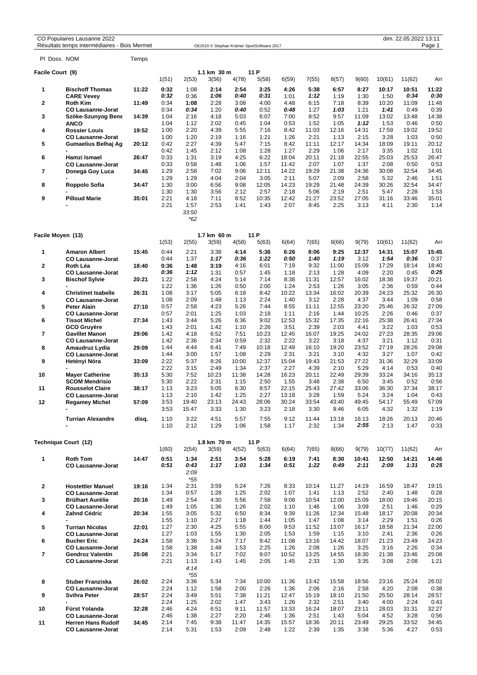| CO Populaires Lausanne 2022                  |
|----------------------------------------------|
| Résultats temps intermédiaires - Bois Mermet |
|                                              |

dim. 22.05.2022 13:11<br>CO Popular Stephan Krämer SportSoftware 2017

| PI Doss, NOM      |                                                       | Temps |                      |                               |                      |                      |                       |                        |                       |                       |                       |                       |                       |                       |
|-------------------|-------------------------------------------------------|-------|----------------------|-------------------------------|----------------------|----------------------|-----------------------|------------------------|-----------------------|-----------------------|-----------------------|-----------------------|-----------------------|-----------------------|
| Facile Court (9)  |                                                       |       |                      |                               | 1.1 km 30 m          |                      | 11 P                  |                        |                       |                       |                       |                       |                       |                       |
| 1                 | <b>Bischoff Thomas</b>                                | 11:22 | 1(51)<br>0:32        | 2(53)<br>1:08                 | 3(56)<br>2:14        | 4(78)<br>2:54        | 5(58)<br>3:25         | 6(59)<br>4:26          | 7(55)<br>5:38         | 8(57)<br>6:57         | 9(60)<br>8:27         | 10(61)<br>10:17       | 11(62)<br>10:51       | Arr<br>11:22          |
| $\mathbf{2}$      | <b>CARE Vevey</b><br><b>Roth Kim</b>                  | 11:49 | 0:32<br>0:34         | 0:36<br>1:08                  | 1:06<br>2:28         | 0:40<br>3:08         | 0:31<br>4:00          | 1:01<br>4:48           | 1:12<br>6:15          | 1:19<br>7:18          | 1:30<br>8:39          | 1:50<br>10:20         | 0:34<br>11:09         | 0:30<br>11:48         |
| 3                 | <b>CO Lausanne-Jorat</b><br>Szöke-Szunyog Bene        | 14:39 | 0:34<br>1:04         | 0:34<br>2:16                  | 1:20<br>4:18         | 0:40<br>5:03         | 0:52<br>6:07          | 0:48<br>7:00           | 1:27<br>8:52          | 1:03<br>9:57          | 1:21<br>11:09         | 1:41<br>13:02         | 0:49<br>13:48         | 0:39<br>14:38         |
| 4                 | <b>ANCO</b><br><b>Rossier Louis</b>                   | 19:52 | 1:04<br>1:00         | 1:12<br>2:20                  | 2:02<br>4:39         | 0:45<br>5:55         | 1:04<br>7:16          | 0:53<br>8:42           | 1:52<br>11:03         | 1:05<br>12:16         | 1:12<br>14:31         | 1:53<br>17:59         | 0:46<br>19:02         | 0:50<br>19:52         |
| 5                 | <b>CO Lausanne-Jorat</b><br>Gumaelius Belhaj Ag       | 20:12 | 1:00<br>0:42         | 1:20<br>2:27                  | 2:19<br>4:39         | 1:16<br>5:47         | 1:21<br>7:15          | 1:26<br>8:42           | 2:21<br>11:11         | 1:13<br>12:17         | 2:15<br>14:34         | 3:28<br>18:09         | 1:03<br>19:11         | 0:50<br>20:12         |
| 6                 | Hamzi Ismael                                          | 26:47 | 0:42<br>0:33         | 1:45<br>1:31                  | 2:12<br>3:19         | 1:08<br>4:25         | 1:28<br>6:22          | 1:27<br>18:04          | 2:29<br>20:11         | 1:06<br>21:18         | 2:17<br>22:55         | 3:35<br>25:03         | 1:02<br>25:53         | 1:01<br>26:47         |
| $\overline{7}$    | <b>CO Lausanne-Jorat</b><br>Donegà Goy Luca           | 34:45 | 0:33<br>1:29<br>1:29 | 0:58<br>2:58<br>1:29          | 1:48<br>7:02<br>4:04 | 1:06<br>9:06<br>2:04 | 1:57<br>12:11<br>3:05 | 11:42<br>14:22<br>2:11 | 2:07<br>19:29<br>5:07 | 1:07<br>21:38<br>2:09 | 1:37<br>24:36<br>2:58 | 2:08<br>30:08<br>5:32 | 0:50<br>32:54<br>2:46 | 0:53<br>34:45<br>1:51 |
| 8                 | Roppolo Sofia                                         | 34:47 | 1:30<br>1:30         | 3:00<br>1:30                  | 6:56<br>3:56         | 9:08<br>2:12         | 12:05<br>2:57         | 14:23<br>2:18          | 19:29<br>5:06         | 21:48<br>2:19         | 24:39<br>2:51         | 30:26<br>5:47         | 32:54<br>2:28         | 34:47<br>1:53         |
| 9                 | <b>Pilloud Marie</b>                                  | 35:01 | 2:21<br>2:21         | 4:18<br>1:57<br>33:50<br>*62  | 7:11<br>2:53         | 8:52<br>1:41         | 10:35<br>1:43         | 12:42<br>2:07          | 21:27<br>8:45         | 23:52<br>2:25         | 27:05<br>3:13         | 31:16<br>4:11         | 33:46<br>2:30         | 35:01<br>1:14         |
| Facile Moyen (13) |                                                       |       |                      |                               | 1.7 km 60 m          |                      | 11 P                  |                        |                       |                       |                       |                       |                       |                       |
|                   |                                                       |       | 1(53)                | 2(55)                         | 3(59)                | 4(58)                | 5(63)                 | 6(64)                  | 7(65)                 | 8(66)                 | 9(79)                 | 10(61)                | 11(62)                | Arr                   |
| 1                 | <b>Amaron Albert</b><br><b>CO Lausanne-Jorat</b>      | 15:45 | 0:44<br>0:44         | 2:21<br>1:37                  | 3:38<br>1:17         | 4:14<br>0:36         | 5:36<br>1:22          | 6:26<br>0:50           | 8:06<br>1:40          | 9:25<br>1:19          | 12:37<br>3:12         | 14:31<br>1:54         | 15:07<br>0:36         | 15:45<br>0:37         |
| 2                 | Roth Léa                                              | 18:40 | 0:36                 | 1:48                          | 3:19                 | 4:16                 | 6:01                  | 7:19                   | 9:32                  | 11:00                 | 15:09                 | 17:29                 | 18:14                 | 18:40                 |
|                   | <b>CO Lausanne-Jorat</b>                              |       | 0:36                 | 1:12                          | 1:31                 | 0:57                 | 1:45                  | 1:18                   | 2:13                  | 1:28                  | 4:09                  | 2:20                  | 0:45                  | 0:25                  |
| 3                 | <b>Bischof Sylvie</b>                                 | 20:21 | 1:22<br>1:22         | 2:58<br>1:36                  | 4:24<br>1:26         | 5:14<br>0:50         | 7:14<br>2:00          | 8:38<br>1:24           | 11:31<br>2:53         | 12:57<br>1:26         | 16:02<br>3:05         | 18:38<br>2:36         | 19:37<br>0:59         | 20:21<br>0:44         |
| 4                 | <b>Christinet Isabelle</b>                            | 26:31 | 1:08                 | 3:17                          | 5:05                 | 6:18                 | 8:42                  | 10:22                  | 13:34                 | 16:02                 | 20:39                 | 24:23                 | 25:32                 | 26:30                 |
|                   | <b>CO Lausanne-Jorat</b>                              |       | 1:08                 | 2:09                          | 1:48                 | 1:13                 | 2:24                  | 1:40                   | 3:12                  | 2:28                  | 4:37                  | 3:44                  | 1:09                  | 0:58                  |
| 5                 | <b>Peter Alain</b>                                    | 27:10 | 0:57                 | 2:58                          | 4:23                 | 5:26                 | 7:44                  | 8:55                   | 11:11                 | 12:55                 | 23:20                 | 25:46                 | 26:32                 | 27:09                 |
| 6                 | <b>CO Lausanne-Jorat</b><br><b>Tissot Michel</b>      | 27:34 | 0:57<br>1:43         | 2:01<br>3:44                  | 1:25<br>5:26         | 1:03<br>6:36         | 2:18<br>9:02          | 1:11<br>12:53          | 2:16<br>15:32         | 1:44<br>17:35         | 10:25<br>22:16        | 2:26<br>25:38         | 0:46<br>26:41         | 0:37<br>27:34         |
|                   | GCO Gruyère                                           |       | 1:43                 | 2:01                          | 1:42                 | 1:10                 | 2:26                  | 3:51                   | 2:39                  | 2:03                  | 4:41                  | 3:22                  | 1:03                  | 0:53                  |
| $\overline{7}$    | <b>Gavillet Manon</b>                                 | 29:06 | 1:42                 | 4:18                          | 6:52                 | 7:51                 | 10:23                 | 12:45                  | 16:07                 | 19:25                 | 24:02                 | 27:23                 | 28:35                 | 29:06                 |
| 8                 | <b>CO Lausanne-Jorat</b><br>Amaudruz Lydia            | 29:09 | 1:42<br>1:44         | 2:36<br>4:44                  | 2:34<br>6:41         | 0:59<br>7:49         | 2:32<br>10:18         | 2:22<br>12:49          | 3:22<br>16:10         | 3:18<br>19:20         | 4:37<br>23:52         | 3:21<br>27:19         | 1:12<br>28:26         | 0:31<br>29:08         |
|                   | <b>CO Lausanne-Jorat</b>                              |       | 1:44                 | 3:00                          | 1:57                 | 1:08                 | 2:29                  | 2:31                   | 3:21                  | 3:10                  | 4:32                  | 3:27                  | 1:07                  | 0:42                  |
| 9                 | Hetényi Nóra                                          | 33:09 | 2:22<br>2:22         | 5:37<br>3:15                  | 8:26<br>2:49         | 10:00<br>1:34        | 12:37<br>2:37         | 15:04<br>2:27          | 19:43<br>4:39         | 21:53<br>2:10         | 27:22<br>5:29         | 31:36<br>4:14         | 32:29<br>0:53         | 33:09<br>0:40         |
| 10                | <b>Mayer Catherine</b><br><b>SCOM Mendrisio</b>       | 35:13 | 5:30<br>5:30         | 7:52<br>2:22                  | 10:23<br>2:31        | 11:38<br>1:15        | 14:28<br>2:50         | 16:23<br>1:55          | 20:11<br>3:48         | 22:49<br>2:38         | 29:39<br>6:50         | 33:24<br>3:45         | 34:16<br>0:52         | 35:13<br>0:56         |
| 11                | <b>Rousselot Claire</b>                               | 38:17 | 1:13                 | 3:23                          | 5:05                 | 6:30                 | 8:57                  | 22:15                  | 25:43                 | 27:42                 | 33:06                 | 36:30                 | 37:34                 | 38:17                 |
| 12                | <b>CO Lausanne-Jorat</b><br><b>Regamey Michel</b>     | 57:09 | 1:13<br>3:53         | 2:10<br>19:40                 | 1:42<br>23:13        | 1:25<br>24:43        | 2:27<br>28:06         | 13:18<br>30:24         | 3:28<br>33:54         | 1:59<br>43:40         | 5:24<br>49:45         | 3:24<br>54:17         | 1:04<br>55:49         | 0:43<br>57:09         |
|                   | ۰                                                     |       | 3:53                 | 15:47                         | 3:33                 | 1:30                 | 3:23                  | 2:18                   | 3:30                  | 9:46                  | 6:05                  | 4:32                  | 1:32                  | 1:19                  |
|                   | <b>Turrian Alexandre</b>                              | disq. | 1:10<br>1:10         | 3:22<br>2:12                  | 4:51<br>1:29         | 5:57<br>1:06         | 7:55<br>1:58          | 9:12<br>1:17           | 11:44<br>2:32         | 13:18<br>1:34         | 16:13<br>2:55         | 18:26<br>2:13         | 20:13<br>1:47         | 20:46<br>0:33         |
|                   | Technique Court (12)                                  |       |                      |                               | 1.8 km 70 m          |                      | 11 P                  |                        |                       |                       |                       |                       |                       |                       |
|                   |                                                       |       | 1(60)                | 2(54)                         | 3(59)                | 4(52)                | 5(63)                 | 6(64)                  | 7(65)                 | 8(66)                 | 9(79)                 | 10(77)                | 11(62)                | Arr                   |
| 1                 | <b>Roth Tom</b><br><b>CO Lausanne-Jorat</b>           | 14:47 | 0:51<br>0:51         | 1:34<br>0:43<br>2:09<br>$*55$ | 2:51<br>1:17         | 3:54<br>1:03         | 5:28<br>1:34          | 6:19<br>0:51           | 7:41<br>1:22          | 8:30<br>0:49          | 10:41<br>2:11         | 12:50<br>2:09         | 14:21<br>1:31         | 14:46<br>0:25         |
| $\mathbf{2}$      | <b>Hostettler Manuel</b>                              | 19:16 | 1:34                 | 2:31                          | 3:59                 | 5:24                 | 7:26                  | 8:33                   | 10:14                 | 11:27                 | 14:19                 | 16:59                 | 18:47                 | 19:15                 |
|                   | <b>CO Lausanne-Jorat</b>                              |       | 1:34                 | 0:57                          | 1:28                 | 1:25                 | 2:02                  | 1:07                   | 1:41                  | 1:13                  | 2:52                  | 2:40                  | 1:48                  | 0:28                  |
| 3                 | <b>Brülhart Aurélie</b><br><b>CO Lausanne-Jorat</b>   | 20:16 | 1:49<br>1:49         | 2:54<br>1:05                  | 4:30<br>1:36         | 5:56<br>1:26         | 7:58<br>2:02          | 9:08<br>1:10           | 10:54<br>1:46         | 12:00<br>1:06         | 15:09<br>3:09         | 18:00<br>2:51         | 19:46<br>1:46         | 20:15<br>0:29         |
| 4                 | Zahnd Cédric                                          | 20:34 | 1:55                 | 3:05                          | 5:32                 | 6:50                 | 8:34                  | 9:39                   | 11:26                 | 12:34                 | 15:48                 | 18:17                 | 20:08                 | 20:34                 |
|                   |                                                       |       | 1:55                 | 1:10                          | 2:27                 | 1:18                 | 1:44                  | 1:05                   | 1:47                  | 1:08                  | 3:14                  | 2:29                  | 1:51                  | 0:26                  |
| 5                 | <b>Turrian Nicolas</b><br><b>CO Lausanne-Jorat</b>    | 22:01 | 1:27<br>1:27         | 2:30<br>1:03                  | 4:25<br>1:55         | 5:55<br>1:30         | 8:00<br>2:05          | 9:53<br>1:53           | 11:52<br>1:59         | 13:07<br>1:15         | 16:17<br>3:10         | 18:58<br>2:41         | 21:34<br>2:36         | 22:00<br>0:26         |
| 6                 | <b>Bucher Eric</b>                                    | 24:24 | 1:58                 | 3:36                          | 5:24                 | 7:17                 | 9:42                  | 11:08                  | 13:16                 | 14:42                 | 18:07                 | 21:23                 | 23:49                 | 24:23                 |
|                   | <b>CO Lausanne-Jorat</b>                              |       | 1:58                 | 1:38                          | 1:48                 | 1:53                 | 2:25                  | 1:26                   | 2:08                  | 1:26                  | 3:25                  | 3:16                  | 2:26                  | 0:34                  |
| $\overline{7}$    | <b>Gendroz Valentin</b><br><b>CO Lausanne-Jorat</b>   | 25:08 | 2:21<br>2:21         | 3:34<br>1:13<br>4:14          | 5:17<br>1:43         | 7:02<br>1:45         | 9:07<br>2:05          | 10:52<br>1:45          | 13:25<br>2:33         | 14:55<br>1:30         | 18:30<br>3:35         | 21:38<br>3:08         | 23:46<br>2:08         | 25:08<br>1:21         |
| 8                 | <b>Stuber Franziska</b>                               | 26:02 | 2:24                 | $*55$<br>3:36                 | 5:34                 | 7:34                 | 10:00                 | 11:36                  | 13:42                 | 15:58                 | 18:56                 | 23:16                 | 25:24                 | 26:02                 |
|                   | <b>CO Lausanne-Jorat</b>                              |       | 2:24                 | 1:12                          | 1:58                 | 2:00                 | 2:26                  | 1:36                   | 2:06                  | 2:16                  | 2:58                  | 4:20                  | 2:08                  | 0:38                  |
| 9                 | Svihra Peter                                          | 28:57 | 2:24<br>2:24         | 3:49                          | 5:51                 | 7:38                 | 11:21                 | 12:47                  | 15:19                 | 18:10                 | 21:50                 | 25:50                 | 28:14                 | 28:57                 |
| 10                | Fürst Yolanda                                         | 32:28 | 2:46                 | 1:25<br>4:24                  | 2:02<br>6:51         | 1:47<br>9:11         | 3:43<br>11:57         | 1:26<br>13:33          | 2:32<br>16:24         | 2:51<br>18:07         | 3:40<br>23:11         | 4:00<br>28:03         | 2:24<br>31:31         | 0:43<br>32:27         |
|                   | <b>CO Lausanne-Jorat</b>                              |       | 2:46                 | 1:38                          | 2:27                 | 2:20                 | 2:46                  | 1:36                   | 2:51                  | 1:43                  | 5:04                  | 4:52                  | 3:28                  | 0:56                  |
| 11                | <b>Herren Hans Rudolf</b><br><b>CO Lausanne-Jorat</b> | 34:45 | 2:14<br>2:14         | 7:45<br>5:31                  | 9:38<br>1:53         | 11:47<br>2:09        | 14:35<br>2:48         | 15:57<br>1:22          | 18:36<br>2:39         | 20:11<br>1:35         | 23:49<br>3:38         | 29:25<br>5:36         | 33:52<br>4:27         | 34:45<br>0:53         |
|                   |                                                       |       |                      |                               |                      |                      |                       |                        |                       |                       |                       |                       |                       |                       |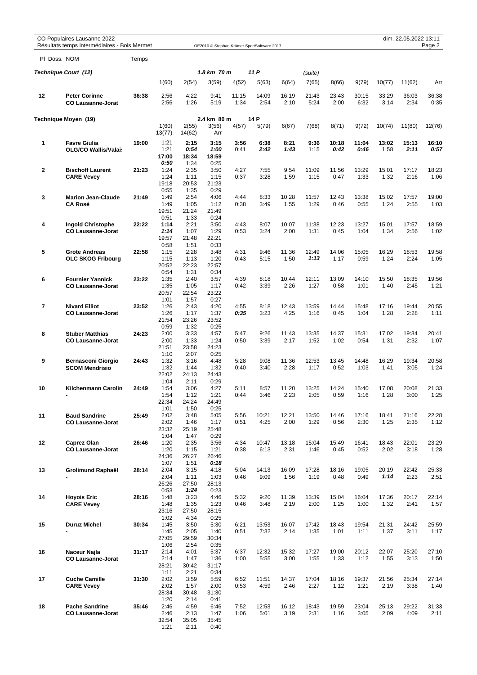|                         | CO Populaires Lausanne 2022<br>Résultats temps intermédiaires - Bois Mermet |       |                 |                 |               |               | OE2010 © Stephan Krämer SportSoftware 2017 |               |                  |               |               |               | dim. 22.05.2022 13:11 | Page 2        |
|-------------------------|-----------------------------------------------------------------------------|-------|-----------------|-----------------|---------------|---------------|--------------------------------------------|---------------|------------------|---------------|---------------|---------------|-----------------------|---------------|
|                         | PI Doss. NOM                                                                | Temps |                 |                 |               |               |                                            |               |                  |               |               |               |                       |               |
|                         |                                                                             |       |                 |                 | 1.8 km 70 m   |               | 11 P                                       |               |                  |               |               |               |                       |               |
|                         | Technique Court (12)                                                        |       | 1(60)           | 2(54)           | 3(59)         | 4(52)         | 5(63)                                      | 6(64)         | (suite)<br>7(65) | 8(66)         | 9(79)         | 10(77)        | 11(62)                | Arr           |
|                         |                                                                             |       |                 |                 |               |               |                                            |               |                  |               |               |               |                       |               |
| 12                      | <b>Peter Corinne</b><br><b>CO Lausanne-Jorat</b>                            | 36:38 | 2:56<br>2:56    | 4:22<br>1:26    | 9:41<br>5:19  | 11:15<br>1:34 | 14:09<br>2:54                              | 16:19<br>2:10 | 21:43<br>5:24    | 23:43<br>2:00 | 30:15<br>6:32 | 33:29<br>3:14 | 36:03<br>2:34         | 36:38<br>0:35 |
|                         | Technique Moyen (19)                                                        |       |                 |                 | 2.4 km 80 m   |               | 14 P                                       |               |                  |               |               |               |                       |               |
|                         |                                                                             |       | 1(60)<br>13(77) | 2(55)<br>14(62) | 3(56)<br>Arr  | 4(57)         | 5(79)                                      | 6(67)         | 7(68)            | 8(71)         | 9(72)         | 10(74)        | 11(80)                | 12(76)        |
| 1                       | <b>Favre Giulia</b>                                                         | 19:00 | 1:21            | 2:15            | 3:15          | 3:56          | 6:38                                       | 8:21          | 9:36             | 10:18         | 11:04         | 13:02         | 15:13                 | 16:10         |
|                         | <b>OLG/CO Wallis/Valais</b>                                                 |       | 1:21<br>17:00   | 0:54<br>18:34   | 1:00<br>18:59 | 0:41          | 2:42                                       | 1:43          | 1:15             | 0:42          | 0:46          | 1:58          | 2:11                  | 0:57          |
|                         |                                                                             |       | 0:50<br>1:24    | 1:34<br>2:35    | 0:25<br>3:50  | 4:27          | 7:55                                       | 9:54          | 11:09            | 11:56         | 13:29         | 15:01         | 17:17                 | 18:23         |
| $\mathbf{2}$            | <b>Bischoff Laurent</b><br><b>CARE Vevey</b>                                | 21:23 | 1:24            | 1:11            | 1:15          | 0:37          | 3:28                                       | 1:59          | 1:15             | 0:47          | 1:33          | 1:32          | 2:16                  | 1:06          |
|                         |                                                                             |       | 19:18           | 20:53           | 21:23         |               |                                            |               |                  |               |               |               |                       |               |
|                         |                                                                             |       | 0:55<br>1:49    | 1:35<br>2:54    | 0:29<br>4:06  | 4:44          | 8:33                                       | 10:28         | 11:57            | 12:43         | 13:38         | 15:02         | 17:57                 | 19:00         |
| 3                       | <b>Marion Jean-Claude</b><br><b>CA Rosé</b>                                 | 21:49 | 1:49            | 1:05            | 1:12          | 0:38          | 3:49                                       | 1:55          | 1:29             | 0:46          | 0:55          | 1:24          | 2:55                  | 1:03          |
|                         |                                                                             |       | 19:51           | 21:24           | 21:49         |               |                                            |               |                  |               |               |               |                       |               |
| 4                       |                                                                             | 22:22 | 0:51<br>1:14    | 1:33<br>2:21    | 0:24<br>3:50  | 4:43          | 8:07                                       | 10:07         | 11:38            | 12:23         | 13:27         | 15:01         | 17:57                 | 18:59         |
|                         | <b>Ingold Christophe</b><br><b>CO Lausanne-Jorat</b>                        |       | 1:14            | 1:07            | 1:29          | 0:53          | 3:24                                       | 2:00          | 1:31             | 0:45          | 1:04          | 1:34          | 2:56                  | 1:02          |
|                         |                                                                             |       | 19:57           | 21:48           | 22:21         |               |                                            |               |                  |               |               |               |                       |               |
| 5                       | <b>Grote Andreas</b>                                                        | 22:58 | 0:58<br>1:15    | 1:51<br>2:28    | 0:33<br>3:48  | 4:31          | 9:46                                       | 11:36         | 12:49            | 14:06         | 15:05         | 16:29         | 18:53                 | 19:58         |
|                         | <b>OLC SKOG Fribourg</b>                                                    |       | 1:15            | 1:13            | 1:20          | 0:43          | 5:15                                       | 1:50          | 1:13             | 1:17          | 0:59          | 1:24          | 2:24                  | 1:05          |
|                         |                                                                             |       | 20:52           | 22:23           | 22:57         |               |                                            |               |                  |               |               |               |                       |               |
| 6                       | <b>Fournier Yannick</b>                                                     | 23:22 | 0:54<br>1:35    | 1:31<br>2:40    | 0:34<br>3:57  | 4:39          | 8:18                                       | 10:44         | 12:11            | 13:09         | 14:10         | 15:50         | 18:35                 | 19:56         |
|                         | <b>CO Lausanne-Jorat</b>                                                    |       | 1:35            | 1:05            | 1:17          | 0:42          | 3:39                                       | 2:26          | 1:27             | 0:58          | 1:01          | 1:40          | 2:45                  | 1:21          |
|                         |                                                                             |       | 20:57           | 22:54           | 23:22         |               |                                            |               |                  |               |               |               |                       |               |
| $\overline{\mathbf{r}}$ | <b>Nivard Elliot</b>                                                        | 23:52 | 1:01<br>1:26    | 1:57<br>2:43    | 0:27<br>4:20  | 4:55          | 8:18                                       | 12:43         | 13:59            | 14:44         | 15:48         | 17:16         | 19:44                 | 20:55         |
|                         | <b>CO Lausanne-Jorat</b>                                                    |       | 1:26            | 1:17            | 1:37          | 0:35          | 3:23                                       | 4:25          | 1:16             | 0:45          | 1:04          | 1:28          | 2:28                  | 1:11          |
|                         |                                                                             |       | 21:54           | 23:26           | 23:52         |               |                                            |               |                  |               |               |               |                       |               |
| 8                       | <b>Stuber Matthias</b>                                                      | 24:23 | 0:59<br>2:00    | 1:32<br>3:33    | 0:25<br>4:57  | 5:47          | 9:26                                       | 11:43         | 13:35            | 14:37         | 15:31         | 17:02         | 19:34                 | 20:41         |
|                         | <b>CO Lausanne-Jorat</b>                                                    |       | 2:00            | 1:33            | 1:24          | 0:50          | 3:39                                       | 2:17          | 1:52             | 1:02          | 0:54          | 1:31          | 2:32                  | 1:07          |
|                         |                                                                             |       | 21:51<br>1:10   | 23:58<br>2:07   | 24:23<br>0:25 |               |                                            |               |                  |               |               |               |                       |               |
| 9                       | <b>Bernasconi Giorgio</b>                                                   | 24:43 | 1:32            | 3:16            | 4:48          | 5:28          | 9:08                                       | 11:36         | 12:53            | 13:45         | 14:48         | 16:29         | 19:34                 | 20:58         |
|                         | <b>SCOM Mendrisio</b>                                                       |       | 1:32            | 1:44            | 1:32          | 0:40          | 3:40                                       | 2:28          | 1:17             | 0:52          | 1:03          | 1:41          | 3:05                  | 1:24          |
|                         |                                                                             |       | 22:02<br>1:04   | 24:13<br>2:11   | 24:43<br>0:29 |               |                                            |               |                  |               |               |               |                       |               |
| 10                      | Kilchenmann Carolin                                                         | 24:49 | 1:54            | 3:06            | 4:27          | 5:11          | 8:57                                       | 11:20         | 13:25            | 14:24         | 15:40         | 17:08         | 20:08                 | 21:33         |
|                         | -                                                                           |       | 1:54            | 1:12            | 1:21          | 0:44          | 3:46                                       | 2:23          | 2:05             | 0:59          | 1:16          | 1:28          | 3:00                  | 1:25          |
|                         |                                                                             |       | 22:34<br>1:01   | 24:24<br>1:50   | 24:49<br>0:25 |               |                                            |               |                  |               |               |               |                       |               |
| 11                      | <b>Baud Sandrine</b>                                                        | 25:49 | 2:02            | 3:48            | 5:05          | 5:56          | 10:21                                      | 12:21         | 13:50            | 14:46         | 17:16         | 18:41         | 21:16                 | 22:28         |
|                         | <b>CO Lausanne-Jorat</b>                                                    |       | 2:02<br>23:32   | 1:46<br>25:19   | 1:17<br>25:48 | 0:51          | 4:25                                       | 2:00          | 1:29             | 0:56          | 2:30          | 1:25          | 2:35                  | 1:12          |
|                         |                                                                             |       | 1:04            | 1:47            | 0:29          |               |                                            |               |                  |               |               |               |                       |               |
| 12                      | Caprez Olan                                                                 | 26:46 | 1:20            | 2:35            | 3:56          | 4:34          | 10:47                                      | 13:18         | 15:04            | 15:49         | 16:41         | 18:43         | 22:01                 | 23:29         |
|                         | <b>CO Lausanne-Jorat</b>                                                    |       | 1:20<br>24:36   | 1:15<br>26:27   | 1:21<br>26:46 | 0:38          | 6:13                                       | 2:31          | 1:46             | 0:45          | 0:52          | 2:02          | 3:18                  | 1:28          |
|                         |                                                                             |       | 1:07            | 1:51            | 0:18          |               |                                            |               |                  |               |               |               |                       |               |
| 13                      | <b>Grolimund Raphaël</b>                                                    | 28:14 | 2:04            | 3:15            | 4:18          | 5:04          | 14:13                                      | 16:09         | 17:28            | 18:16         | 19:05         | 20:19         | 22:42                 | 25:33         |
|                         |                                                                             |       | 2:04<br>26:26   | 1:11<br>27:50   | 1:03<br>28:13 | 0:46          | 9:09                                       | 1:56          | 1:19             | 0:48          | 0:49          | 1:14          | 2:23                  | 2:51          |
|                         |                                                                             |       | 0:53            | 1:24            | 0:23          |               |                                            |               |                  |               |               |               |                       |               |
| 14                      | <b>Hoyois Eric</b><br><b>CARE Vevey</b>                                     | 28:16 | 1:48<br>1:48    | 3:23<br>1:35    | 4:46<br>1:23  | 5:32<br>0:46  | 9:20<br>3:48                               | 11:39<br>2:19 | 13:39<br>2:00    | 15:04<br>1:25 | 16:04<br>1:00 | 17:36<br>1:32 | 20:17<br>2:41         | 22:14<br>1:57 |
|                         |                                                                             |       | 23:16           | 27:50           | 28:15         |               |                                            |               |                  |               |               |               |                       |               |
|                         |                                                                             |       | 1:02            | 4:34            | 0:25          |               |                                            |               |                  |               |               |               |                       |               |
| 15                      | <b>Duruz Michel</b>                                                         | 30:34 | 1:45<br>1:45    | 3:50<br>2:05    | 5:30<br>1:40  | 6:21<br>0:51  | 13:53<br>7:32                              | 16:07<br>2:14 | 17:42<br>1:35    | 18:43<br>1:01 | 19:54<br>1:11 | 21:31<br>1:37 | 24:42<br>3:11         | 25:59<br>1:17 |
|                         |                                                                             |       | 27:05           | 29:59           | 30:34         |               |                                            |               |                  |               |               |               |                       |               |
|                         |                                                                             |       | 1:06            | 2:54            | 0:35          |               |                                            |               |                  |               |               |               |                       |               |
| 16                      | Naceur Najla<br><b>CO Lausanne-Jorat</b>                                    | 31:17 | 2:14<br>2:14    | 4:01<br>1:47    | 5:37<br>1:36  | 6:37<br>1:00  | 12:32<br>5:55                              | 15:32<br>3:00 | 17:27<br>1:55    | 19:00<br>1:33 | 20:12<br>1:12 | 22:07<br>1:55 | 25:20<br>3:13         | 27:10<br>1:50 |
|                         |                                                                             |       | 28:21           | 30:42           | 31:17         |               |                                            |               |                  |               |               |               |                       |               |
|                         |                                                                             |       | 1:11            | 2:21            | 0:34          |               |                                            |               |                  |               |               |               |                       |               |
| 17                      | <b>Cuche Camille</b><br><b>CARE Vevey</b>                                   | 31:30 | 2:02<br>2:02    | 3:59<br>1:57    | 5:59<br>2:00  | 6:52<br>0:53  | 11:51<br>4:59                              | 14:37<br>2:46 | 17:04<br>2:27    | 18:16<br>1:12 | 19:37<br>1:21 | 21:56<br>2:19 | 25:34<br>3:38         | 27:14<br>1:40 |
|                         |                                                                             |       | 28:34           | 30:48           | 31:30         |               |                                            |               |                  |               |               |               |                       |               |
| 18                      | <b>Pache Sandrine</b>                                                       | 35:46 | 1:20<br>2:46    | 2:14<br>4:59    | 0:41<br>6:46  | 7:52          | 12:53                                      | 16:12         | 18:43            | 19:59         | 23:04         | 25:13         | 29:22                 | 31:33         |
|                         | <b>CO Lausanne-Jorat</b>                                                    |       | 2:46            | 2:13            | 1:47          | 1:06          | 5:01                                       | 3:19          | 2:31             | 1:16          | 3:05          | 2:09          | 4:09                  | 2:11          |
|                         |                                                                             |       | 32:54           | 35:05           | 35:45         |               |                                            |               |                  |               |               |               |                       |               |
|                         |                                                                             |       | 1:21            | 2:11            | 0:40          |               |                                            |               |                  |               |               |               |                       |               |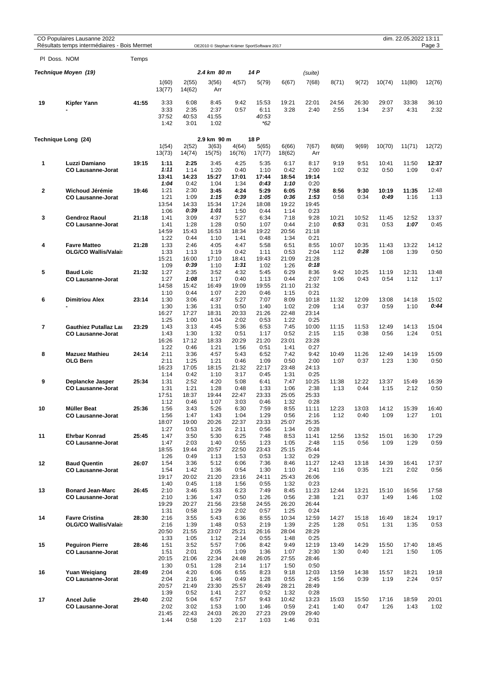|              | CO Populaires Lausanne 2022<br>Résultats temps intermédiaires - Bois Mermet |       |                                       |                                       | OE2010 © Stephan Krämer SportSoftware 2017 |                                       |                                       |                                        |                                        |               |               |               | dim. 22.05.2022 13:11 | Page 3        |
|--------------|-----------------------------------------------------------------------------|-------|---------------------------------------|---------------------------------------|--------------------------------------------|---------------------------------------|---------------------------------------|----------------------------------------|----------------------------------------|---------------|---------------|---------------|-----------------------|---------------|
| PI Doss. NOM |                                                                             | Temps |                                       |                                       |                                            |                                       |                                       |                                        |                                        |               |               |               |                       |               |
|              | Technique Moyen (19)                                                        |       |                                       |                                       | 2.4 km 80 m                                |                                       | 14 P                                  |                                        | (suite)                                |               |               |               |                       |               |
|              |                                                                             |       | 1(60)<br>13(77)                       | 2(55)<br>14(62)                       | 3(56)<br>Arr                               | 4(57)                                 | 5(79)                                 | 6(67)                                  | 7(68)                                  | 8(71)         | 9(72)         | 10(74)        | 11(80)                | 12(76)        |
| 19           | Kipfer Yann                                                                 | 41:55 | 3:33<br>3:33<br>37:52<br>1:42         | 6:08<br>2:35<br>40:53<br>3:01         | 8:45<br>2:37<br>41:55<br>1:02              | 9:42<br>0:57                          | 15:53<br>6:11<br>40:53<br>*62         | 19:21<br>3:28                          | 22:01<br>2:40                          | 24:56<br>2:55 | 26:30<br>1:34 | 29:07<br>2:37 | 33:38<br>4:31         | 36:10<br>2:32 |
|              | Technique Long (24)                                                         |       |                                       |                                       | 2.9 km 90 m                                |                                       | 18 P                                  |                                        |                                        |               |               |               |                       |               |
|              |                                                                             |       | 1(54)<br>13(73)                       | 2(52)<br>14(74)                       | 3(63)<br>15(75)                            | 4(64)<br>16(76)                       | 5(65)<br>17(77)                       | 6(66)<br>18(62)                        | 7(67)<br>Arr                           | 8(68)         | 9(69)         | 10(70)        | 11(71)                | 12(72)        |
| 1            | Luzzi Damiano<br><b>CO Lausanne-Jorat</b>                                   | 19:15 | 1:11<br>1:11<br>13:41                 | 2:25<br>1:14<br>14:23                 | 3:45<br>1:20<br>15:27                      | 4:25<br>0:40<br>17:01                 | 5:35<br>1:10<br>17:44                 | 6:17<br>0:42<br>18:54                  | 8:17<br>2:00<br>19:14                  | 9:19<br>1:02  | 9:51<br>0:32  | 10:41<br>0:50 | 11:50<br>1:09         | 12:37<br>0:47 |
| $\mathbf{2}$ | Wichoud Jérémie<br><b>CO Lausanne-Jorat</b>                                 | 19:46 | 1:04<br>1:21<br>1:21<br>13:54         | 0:42<br>2:30<br>1:09<br>14:33         | 1:04<br>3:45<br>1:15<br>15:34              | 1:34<br>4:24<br>0:39<br>17:24         | 0:43<br>5:29<br>1:05<br>18:08         | 1:10<br>6:05<br>0:36<br>19:22          | 0:20<br>7:58<br>1:53<br>19:45          | 8:56<br>0:58  | 9:30<br>0:34  | 10:19<br>0:49 | 11:35<br>1:16         | 12:48<br>1:13 |
| 3            | <b>Gendroz Raoul</b><br><b>CO Lausanne-Jorat</b>                            | 21:18 | 1:06<br>1:41<br>1:41<br>14:59         | 0:39<br>3:09<br>1:28<br>15:43         | 1:01<br>4:37<br>1:28<br>16:53              | 1:50<br>5:27<br>0:50<br>18:34         | 0:44<br>6:34<br>1:07<br>19:22         | 1:14<br>7:18<br>0:44<br>20:56          | 0:23<br>9:28<br>2:10<br>21:18          | 10:21<br>0:53 | 10:52<br>0:31 | 11:45<br>0:53 | 12:52<br>1:07         | 13:37<br>0:45 |
| 4            | <b>Favre Matteo</b><br><b>OLG/CO Wallis/Valais</b>                          | 21:28 | 1:22<br>1:33<br>1:33<br>15:21         | 0:44<br>2:46<br>1:13<br>16:00         | 1:10<br>4:05<br>1:19<br>17:10              | 1:41<br>4:47<br>0:42<br>18:41         | 0:48<br>5:58<br>1:11<br>19:43         | 1:34<br>6:51<br>0:53<br>21:09          | 0:21<br>8:55<br>2:04<br>21:28          | 10:07<br>1:12 | 10:35<br>0:28 | 11:43<br>1:08 | 13:22<br>1:39         | 14:12<br>0:50 |
| 5            | <b>Baud Loïc</b><br><b>CO Lausanne-Jorat</b>                                | 21:32 | 1:09<br>1:27<br>1:27<br>14:58         | 0:39<br>2:35<br>1:08<br>15:42         | 1:10<br>3:52<br>1:17<br>16:49              | 1:31<br>4:32<br>0:40<br>19:09         | 1:02<br>5:45<br>1:13<br>19:55         | 1:26<br>6:29<br>0:44<br>21:10          | 0:18<br>8:36<br>2:07<br>21:32          | 9:42<br>1:06  | 10:25<br>0:43 | 11:19<br>0:54 | 12:31<br>1:12         | 13:48<br>1:17 |
| 6            | <b>Dimitriou Alex</b>                                                       | 23:14 | 1:10<br>1:30<br>1:30<br>16:27         | 0:44<br>3:06<br>1:36<br>17:27         | 1:07<br>4:37<br>1:31<br>18:31              | 2:20<br>5:27<br>0:50<br>20:33         | 0:46<br>7:07<br>1:40<br>21:26         | 1:15<br>8:09<br>1:02<br>22:48          | 0:21<br>10:18<br>2:09<br>23:14         | 11:32<br>1:14 | 12:09<br>0:37 | 13:08<br>0:59 | 14:18<br>1:10         | 15:02<br>0:44 |
| 7            | <b>Gauthiez Putallaz Lat</b><br><b>CO Lausanne-Jorat</b>                    | 23:29 | 1:25<br>1:43<br>1:43<br>16:26         | 1:00<br>3:13<br>1:30<br>17:12         | 1:04<br>4:45<br>1:32<br>18:33              | 2:02<br>5:36<br>0:51<br>20:29         | 0:53<br>6:53<br>1:17<br>21:20         | 1:22<br>7:45<br>0:52<br>23:01          | 0:25<br>10:00<br>2:15<br>23:28         | 11:15<br>1:15 | 11:53<br>0:38 | 12:49<br>0:56 | 14:13<br>1:24         | 15:04<br>0:51 |
| 8            | <b>Mazuez Mathieu</b><br><b>OLG Bern</b>                                    | 24:14 | 1:22<br>2:11<br>2:11<br>16:23         | 0:46<br>3:36<br>1:25<br>17:05         | 1:21<br>4:57<br>1:21<br>18:15              | 1:56<br>5:43<br>0:46<br>21:32         | 0:51<br>6:52<br>1:09<br>22:17         | 1:41<br>7:42<br>0:50<br>23:48          | 0:27<br>9:42<br>2:00<br>24:13          | 10:49<br>1:07 | 11:26<br>0:37 | 12:49<br>1:23 | 14:19<br>1:30         | 15:09<br>0:50 |
| 9            | Deplancke Jasper<br><b>CO Lausanne-Jorat</b>                                | 25:34 | 1:14<br>1:31<br>1:31<br>17:51         | 0:42<br>2:52<br>1:21<br>18:37         | 1:10<br>4:20<br>1:28<br>19:44              | 3:17<br>5:08<br>0:48<br>22:47         | 0:45<br>6:41<br>1:33<br>23:33         | 1:31<br>7:47<br>1:06<br>25:05          | 0:25<br>10:25<br>2:38<br>25:33         | 11:38<br>1:13 | 12:22<br>0:44 | 13:37<br>1:15 | 15:49<br>2:12         | 16:39<br>0:50 |
| 10           | <b>Müller Beat</b><br><b>CO Lausanne-Jorat</b>                              | 25:36 | 1:12<br>1:56<br>1:56<br>18:07         | 0:46<br>3:43<br>1:47<br>19:00         | 1:07<br>5:26<br>1:43<br>20:26              | 3:03<br>6:30<br>1:04<br>22:37         | 0:46<br>7:59<br>1:29<br>23:33         | 1:32<br>8:55<br>0:56<br>25:07          | 0:28<br>11:11<br>2:16<br>25:35         | 12:23<br>1:12 | 13:03<br>0:40 | 14:12<br>1:09 | 15:39<br>1:27         | 16:40<br>1:01 |
| 11           | <b>Ehrbar Konrad</b><br><b>CO Lausanne-Jorat</b>                            | 25:45 | 1:27<br>1:47<br>1:47<br>18:55         | 0:53<br>3:50<br>2:03<br>19:44         | 1:26<br>5:30<br>1:40<br>20:57              | 2:11<br>6:25<br>0:55<br>22:50         | 0:56<br>7:48<br>1:23<br>23:43         | 1:34<br>8:53<br>1:05<br>25:15          | 0:28<br>11:41<br>2:48<br>25:44         | 12:56<br>1:15 | 13:52<br>0:56 | 15:01<br>1:09 | 16:30<br>1:29         | 17:29<br>0:59 |
| 12           | <b>Baud Quentin</b><br><b>CO Lausanne-Jorat</b>                             | 26:07 | 1:26<br>1:54<br>1:54<br>19:17         | 0:49<br>3:36<br>1:42<br>20:02         | 1:13<br>5:12<br>1:36<br>21:20              | 1:53<br>6:06<br>0:54<br>23:16         | 0:53<br>7:36<br>1:30<br>24:11         | 1:32<br>8:46<br>1:10<br>25:43          | 0:29<br>11:27<br>2:41<br>26:06         | 12:43<br>1:16 | 13:18<br>0:35 | 14:39<br>1:21 | 16:41<br>2:02         | 17:37<br>0:56 |
| 13           | <b>Bonard Jean-Marc</b><br><b>CO Lausanne-Jorat</b>                         | 26:45 | 1:40<br>2:10<br>2:10<br>19:29         | 0:45<br>3:46<br>1:36<br>20:27         | 1:18<br>5:33<br>1:47<br>21:56              | 1:56<br>6:23<br>0:50<br>23:58         | 0:55<br>7:49<br>1:26<br>24:55         | 1:32<br>8:45<br>0:56<br>26:20          | 0:23<br>11:23<br>2:38<br>26:44         | 12:44<br>1:21 | 13:21<br>0:37 | 15:10<br>1:49 | 16:56<br>1:46         | 17:58<br>1:02 |
| 14           | <b>Favre Cristina</b><br><b>OLG/CO Wallis/Valais</b>                        | 28:30 | 1:31<br>2:16<br>2:16<br>20:50         | 0:58<br>3:55<br>1:39<br>21:55         | 1:29<br>5:43<br>1:48<br>23:07              | 2:02<br>6:36<br>0:53<br>25:21         | 0:57<br>8:55<br>2:19<br>26:16         | 1:25<br>10:34<br>1:39<br>28:04         | 0:24<br>12:59<br>2:25<br>28:29         | 14:27<br>1:28 | 15:18<br>0:51 | 16:49<br>1:31 | 18:24<br>1:35         | 19:17<br>0:53 |
| 15           | <b>Peguiron Pierre</b><br><b>CO Lausanne-Jorat</b>                          | 28:46 | 1:33<br>1:51<br>1:51<br>20:15         | 1:05<br>3:52<br>2:01<br>21:06         | 1:12<br>5:57<br>2:05<br>22:34              | 2:14<br>7:06<br>1:09<br>24:48         | 0:55<br>8:42<br>1:36<br>26:05         | 1:48<br>9:49<br>1:07<br>27:55          | 0:25<br>12:19<br>2:30<br>28:46         | 13:49<br>1:30 | 14:29<br>0:40 | 15:50<br>1:21 | 17:40<br>1:50         | 18:45<br>1:05 |
| 16           | <b>Yuan Weigiang</b><br><b>CO Lausanne-Jorat</b>                            | 28:49 | 1:30<br>2:04<br>2:04<br>20:57         | 0:51<br>4:20<br>2:16<br>21:49         | 1:28<br>6:06<br>1:46<br>23:30              | 2:14<br>6:55<br>0:49<br>25:57         | 1:17<br>8:23<br>1:28<br>26:49         | 1:50<br>9:18<br>0:55<br>28:21          | 0:50<br>12:03<br>2:45<br>28:49         | 13:59<br>1:56 | 14:38<br>0:39 | 15:57<br>1:19 | 18:21<br>2:24         | 19:18<br>0:57 |
| 17           | <b>Ancel Julie</b><br><b>CO Lausanne-Jorat</b>                              | 29:40 | 1:39<br>2:02<br>2:02<br>21:45<br>1:44 | 0:52<br>5:04<br>3:02<br>22:43<br>0:58 | 1:41<br>6:57<br>1:53<br>24:03<br>1:20      | 2:27<br>7:57<br>1:00<br>26:20<br>2:17 | 0:52<br>9:43<br>1:46<br>27:23<br>1:03 | 1:32<br>10:42<br>0:59<br>29:09<br>1:46 | 0:28<br>13:23<br>2:41<br>29:40<br>0:31 | 15:03<br>1:40 | 15:50<br>0:47 | 17:16<br>1:26 | 18:59<br>1:43         | 20:01<br>1:02 |